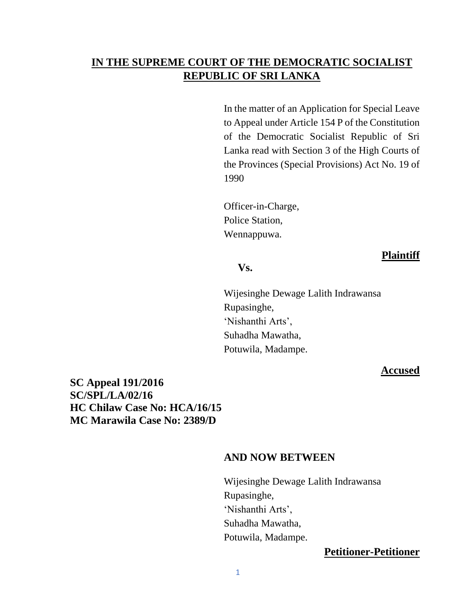# **IN THE SUPREME COURT OF THE DEMOCRATIC SOCIALIST REPUBLIC OF SRI LANKA**

In the matter of an Application for Special Leave to Appeal under Article 154 P of the Constitution of the Democratic Socialist Republic of Sri Lanka read with Section 3 of the High Courts of the Provinces (Special Provisions) Act No. 19 of 1990

Officer-in-Charge, Police Station, Wennappuwa.

#### **Plaintiff**

# **Vs.**

Wijesinghe Dewage Lalith Indrawansa Rupasinghe, 'Nishanthi Arts', Suhadha Mawatha, Potuwila, Madampe.

#### **Accused**

**SC Appeal 191/2016 SC/SPL/LA/02/16 HC Chilaw Case No: HCA/16/15 MC Marawila Case No: 2389/D** 

#### **AND NOW BETWEEN**

Wijesinghe Dewage Lalith Indrawansa Rupasinghe, 'Nishanthi Arts', Suhadha Mawatha, Potuwila, Madampe.

### **Petitioner-Petitioner**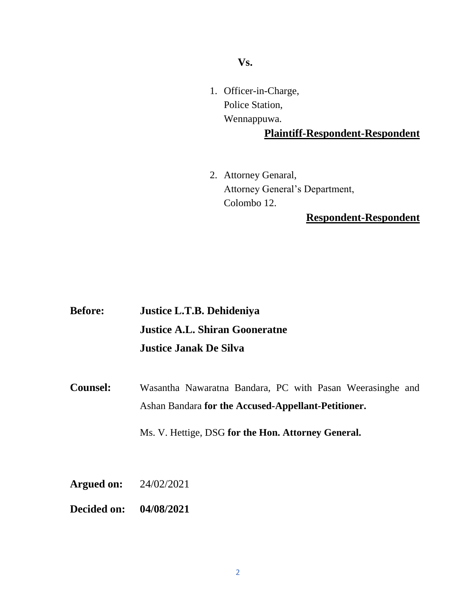**Vs.**

1. Officer-in-Charge, Police Station, Wennappuwa.

## **Plaintiff-Respondent-Respondent**

2. Attorney Genaral, Attorney General's Department, Colombo 12.

# **Respondent-Respondent**

| <b>Before:</b> | Justice L.T.B. Dehideniya             |
|----------------|---------------------------------------|
|                | <b>Justice A.L. Shiran Gooneratne</b> |
|                | <b>Justice Janak De Silva</b>         |

**Counsel:** Wasantha Nawaratna Bandara, PC with Pasan Weerasinghe and Ashan Bandara **for the Accused-Appellant-Petitioner.**

Ms. V. Hettige, DSG **for the Hon. Attorney General.**

- **Argued on:** 24/02/2021
- **Decided on: 04/08/2021**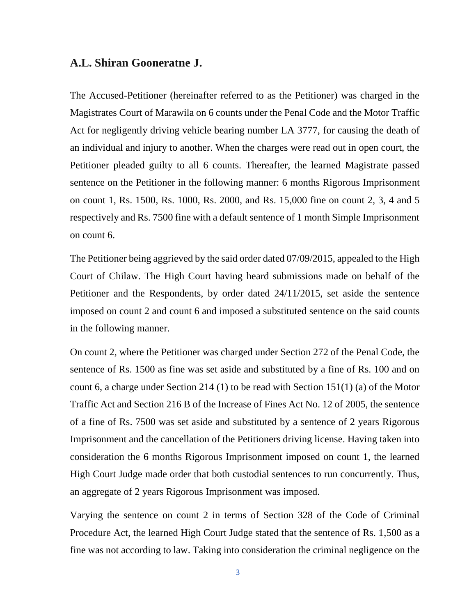#### **A.L. Shiran Gooneratne J.**

The Accused-Petitioner (hereinafter referred to as the Petitioner) was charged in the Magistrates Court of Marawila on 6 counts under the Penal Code and the Motor Traffic Act for negligently driving vehicle bearing number LA 3777, for causing the death of an individual and injury to another. When the charges were read out in open court, the Petitioner pleaded guilty to all 6 counts. Thereafter, the learned Magistrate passed sentence on the Petitioner in the following manner: 6 months Rigorous Imprisonment on count 1, Rs. 1500, Rs. 1000, Rs. 2000, and Rs. 15,000 fine on count 2, 3, 4 and 5 respectively and Rs. 7500 fine with a default sentence of 1 month Simple Imprisonment on count 6.

The Petitioner being aggrieved by the said order dated 07/09/2015, appealed to the High Court of Chilaw. The High Court having heard submissions made on behalf of the Petitioner and the Respondents, by order dated 24/11/2015, set aside the sentence imposed on count 2 and count 6 and imposed a substituted sentence on the said counts in the following manner.

On count 2, where the Petitioner was charged under Section 272 of the Penal Code, the sentence of Rs. 1500 as fine was set aside and substituted by a fine of Rs. 100 and on count 6, a charge under Section 214 (1) to be read with Section 151(1) (a) of the Motor Traffic Act and Section 216 B of the Increase of Fines Act No. 12 of 2005, the sentence of a fine of Rs. 7500 was set aside and substituted by a sentence of 2 years Rigorous Imprisonment and the cancellation of the Petitioners driving license. Having taken into consideration the 6 months Rigorous Imprisonment imposed on count 1, the learned High Court Judge made order that both custodial sentences to run concurrently. Thus, an aggregate of 2 years Rigorous Imprisonment was imposed.

Varying the sentence on count 2 in terms of Section 328 of the Code of Criminal Procedure Act, the learned High Court Judge stated that the sentence of Rs. 1,500 as a fine was not according to law. Taking into consideration the criminal negligence on the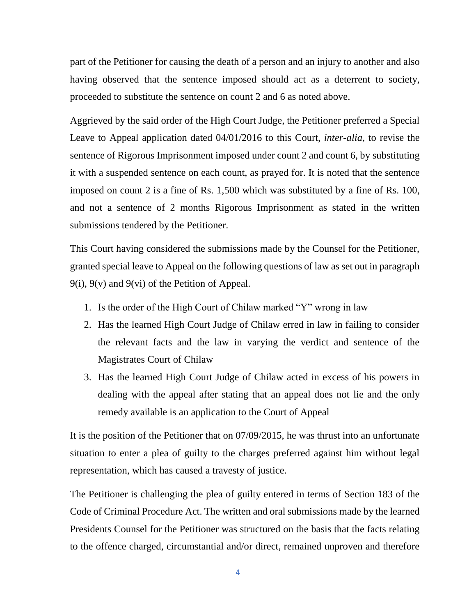part of the Petitioner for causing the death of a person and an injury to another and also having observed that the sentence imposed should act as a deterrent to society, proceeded to substitute the sentence on count 2 and 6 as noted above.

Aggrieved by the said order of the High Court Judge, the Petitioner preferred a Special Leave to Appeal application dated 04/01/2016 to this Court, *inter-alia*, to revise the sentence of Rigorous Imprisonment imposed under count 2 and count 6, by substituting it with a suspended sentence on each count, as prayed for. It is noted that the sentence imposed on count 2 is a fine of Rs. 1,500 which was substituted by a fine of Rs. 100, and not a sentence of 2 months Rigorous Imprisonment as stated in the written submissions tendered by the Petitioner.

This Court having considered the submissions made by the Counsel for the Petitioner, granted special leave to Appeal on the following questions of law as set out in paragraph 9(i), 9(v) and 9(vi) of the Petition of Appeal.

- 1. Is the order of the High Court of Chilaw marked "Y" wrong in law
- 2. Has the learned High Court Judge of Chilaw erred in law in failing to consider the relevant facts and the law in varying the verdict and sentence of the Magistrates Court of Chilaw
- 3. Has the learned High Court Judge of Chilaw acted in excess of his powers in dealing with the appeal after stating that an appeal does not lie and the only remedy available is an application to the Court of Appeal

It is the position of the Petitioner that on 07/09/2015, he was thrust into an unfortunate situation to enter a plea of guilty to the charges preferred against him without legal representation, which has caused a travesty of justice.

The Petitioner is challenging the plea of guilty entered in terms of Section 183 of the Code of Criminal Procedure Act. The written and oral submissions made by the learned Presidents Counsel for the Petitioner was structured on the basis that the facts relating to the offence charged, circumstantial and/or direct, remained unproven and therefore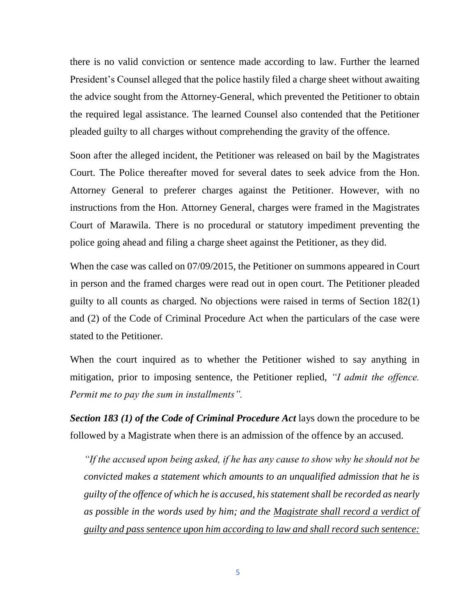there is no valid conviction or sentence made according to law. Further the learned President's Counsel alleged that the police hastily filed a charge sheet without awaiting the advice sought from the Attorney-General, which prevented the Petitioner to obtain the required legal assistance. The learned Counsel also contended that the Petitioner pleaded guilty to all charges without comprehending the gravity of the offence.

Soon after the alleged incident, the Petitioner was released on bail by the Magistrates Court. The Police thereafter moved for several dates to seek advice from the Hon. Attorney General to preferer charges against the Petitioner. However, with no instructions from the Hon. Attorney General, charges were framed in the Magistrates Court of Marawila. There is no procedural or statutory impediment preventing the police going ahead and filing a charge sheet against the Petitioner, as they did.

When the case was called on 07/09/2015, the Petitioner on summons appeared in Court in person and the framed charges were read out in open court. The Petitioner pleaded guilty to all counts as charged. No objections were raised in terms of Section 182(1) and (2) of the Code of Criminal Procedure Act when the particulars of the case were stated to the Petitioner.

When the court inquired as to whether the Petitioner wished to say anything in mitigation, prior to imposing sentence, the Petitioner replied, *"I admit the offence. Permit me to pay the sum in installments".*

*Section 183 (1) of the Code of Criminal Procedure Act* lays down the procedure to be followed by a Magistrate when there is an admission of the offence by an accused.

*"If the accused upon being asked, if he has any cause to show why he should not be convicted makes a statement which amounts to an unqualified admission that he is guilty of the offence of which he is accused, his statement shall be recorded as nearly as possible in the words used by him; and the Magistrate shall record a verdict of guilty and pass sentence upon him according to law and shall record such sentence:*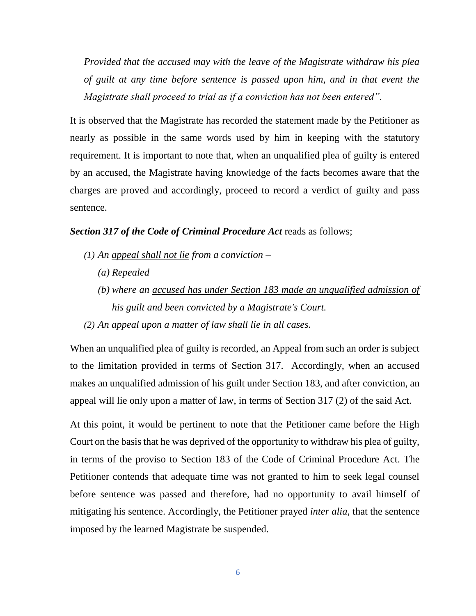*Provided that the accused may with the leave of the Magistrate withdraw his plea of guilt at any time before sentence is passed upon him, and in that event the Magistrate shall proceed to trial as if a conviction has not been entered".*

It is observed that the Magistrate has recorded the statement made by the Petitioner as nearly as possible in the same words used by him in keeping with the statutory requirement. It is important to note that, when an unqualified plea of guilty is entered by an accused, the Magistrate having knowledge of the facts becomes aware that the charges are proved and accordingly, proceed to record a verdict of guilty and pass sentence.

#### *Section 317 of the Code of Criminal Procedure Act* reads as follows;

- *(1) An appeal shall not lie from a conviction –*
	- *(a) Repealed*
	- *(b) where an accused has under Section 183 made an unqualified admission of his guilt and been convicted by a Magistrate's Court.*
- *(2) An appeal upon a matter of law shall lie in all cases.*

When an unqualified plea of guilty is recorded, an Appeal from such an order is subject to the limitation provided in terms of Section 317. Accordingly, when an accused makes an unqualified admission of his guilt under Section 183, and after conviction, an appeal will lie only upon a matter of law, in terms of Section 317 (2) of the said Act.

At this point, it would be pertinent to note that the Petitioner came before the High Court on the basis that he was deprived of the opportunity to withdraw his plea of guilty, in terms of the proviso to Section 183 of the Code of Criminal Procedure Act. The Petitioner contends that adequate time was not granted to him to seek legal counsel before sentence was passed and therefore, had no opportunity to avail himself of mitigating his sentence. Accordingly, the Petitioner prayed *inter alia*, that the sentence imposed by the learned Magistrate be suspended.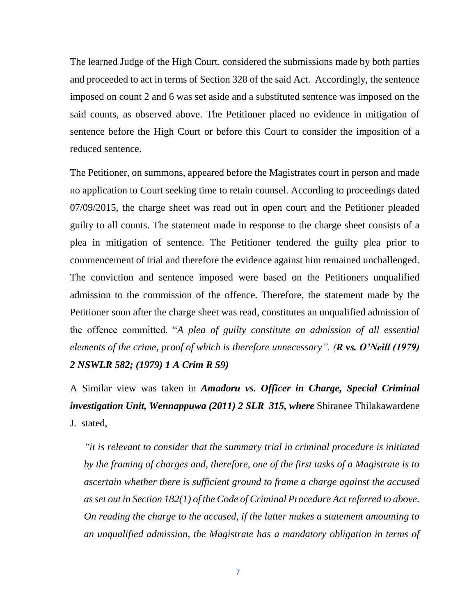The learned Judge of the High Court, considered the submissions made by both parties and proceeded to act in terms of Section 328 of the said Act. Accordingly, the sentence imposed on count 2 and 6 was set aside and a substituted sentence was imposed on the said counts, as observed above. The Petitioner placed no evidence in mitigation of sentence before the High Court or before this Court to consider the imposition of a reduced sentence.

The Petitioner, on summons, appeared before the Magistrates court in person and made no application to Court seeking time to retain counsel. According to proceedings dated 07/09/2015, the charge sheet was read out in open court and the Petitioner pleaded guilty to all counts. The statement made in response to the charge sheet consists of a plea in mitigation of sentence. The Petitioner tendered the guilty plea prior to commencement of trial and therefore the evidence against him remained unchallenged. The conviction and sentence imposed were based on the Petitioners unqualified admission to the commission of the offence. Therefore, the statement made by the Petitioner soon after the charge sheet was read, constitutes an unqualified admission of the offence committed. "*A plea of guilty constitute an admission of all essential elements of the crime, proof of which is therefore unnecessary". (R vs. O'Neill (1979) 2 NSWLR 582; (1979) 1 A Crim R 59)*

A Similar view was taken in *Amadoru vs. Officer in Charge, Special Criminal investigation Unit, Wennappuwa (2011) 2 SLR 315, where* Shiranee Thilakawardene J. stated,

*"it is relevant to consider that the summary trial in criminal procedure is initiated by the framing of charges and, therefore, one of the first tasks of a Magistrate is to ascertain whether there is sufficient ground to frame a charge against the accused as set out in Section 182(1) of the Code of Criminal Procedure Act referred to above. On reading the charge to the accused, if the latter makes a statement amounting to an unqualified admission, the Magistrate has a mandatory obligation in terms of*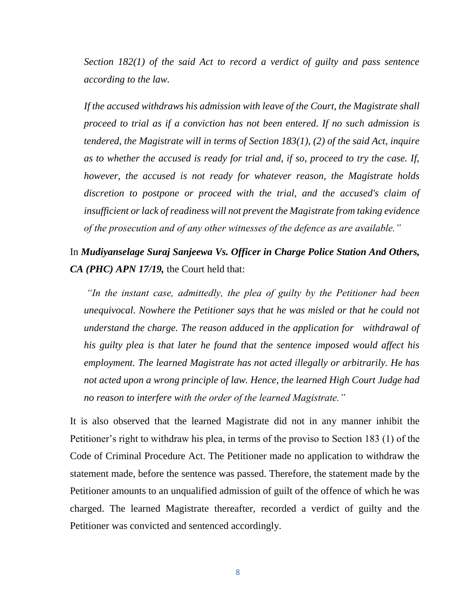*Section 182(1) of the said Act to record a verdict of guilty and pass sentence according to the law.* 

*If the accused withdraws his admission with leave of the Court, the Magistrate shall proceed to trial as if a conviction has not been entered. If no such admission is tendered, the Magistrate will in terms of Section 183(1), (2) of the said Act, inquire as to whether the accused is ready for trial and, if so, proceed to try the case. If, however, the accused is not ready for whatever reason, the Magistrate holds discretion to postpone or proceed with the trial, and the accused's claim of insufficient or lack of readiness will not prevent the Magistrate from taking evidence of the prosecution and of any other witnesses of the defence as are available."*

# In *Mudiyanselage Suraj Sanjeewa Vs. Officer in Charge Police Station And Others, CA (PHC) APN 17/19,* the Court held that:

*"In the instant case, admittedly, the plea of guilty by the Petitioner had been unequivocal. Nowhere the Petitioner says that he was misled or that he could not understand the charge. The reason adduced in the application for withdrawal of his guilty plea is that later he found that the sentence imposed would affect his employment. The learned Magistrate has not acted illegally or arbitrarily. He has not acted upon a wrong principle of law. Hence, the learned High Court Judge had no reason to interfere with the order of the learned Magistrate."*

It is also observed that the learned Magistrate did not in any manner inhibit the Petitioner's right to withdraw his plea, in terms of the proviso to Section 183 (1) of the Code of Criminal Procedure Act. The Petitioner made no application to withdraw the statement made, before the sentence was passed. Therefore, the statement made by the Petitioner amounts to an unqualified admission of guilt of the offence of which he was charged. The learned Magistrate thereafter, recorded a verdict of guilty and the Petitioner was convicted and sentenced accordingly.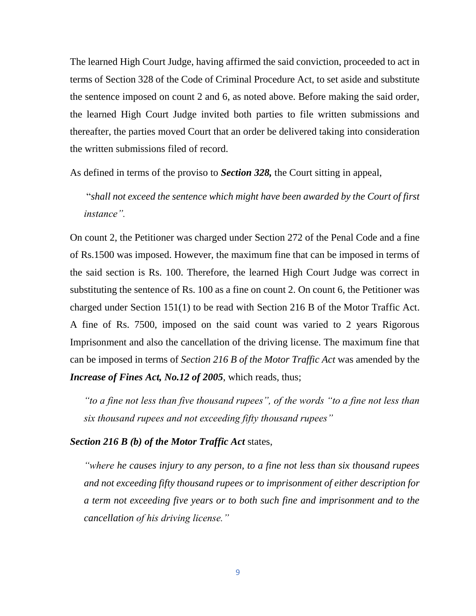The learned High Court Judge, having affirmed the said conviction, proceeded to act in terms of Section 328 of the Code of Criminal Procedure Act, to set aside and substitute the sentence imposed on count 2 and 6, as noted above. Before making the said order, the learned High Court Judge invited both parties to file written submissions and thereafter, the parties moved Court that an order be delivered taking into consideration the written submissions filed of record.

As defined in terms of the proviso to *Section 328,* the Court sitting in appeal,

"*shall not exceed the sentence which might have been awarded by the Court of first instance".*

On count 2, the Petitioner was charged under Section 272 of the Penal Code and a fine of Rs.1500 was imposed. However, the maximum fine that can be imposed in terms of the said section is Rs. 100. Therefore, the learned High Court Judge was correct in substituting the sentence of Rs. 100 as a fine on count 2. On count 6, the Petitioner was charged under Section 151(1) to be read with Section 216 B of the Motor Traffic Act. A fine of Rs. 7500, imposed on the said count was varied to 2 years Rigorous Imprisonment and also the cancellation of the driving license. The maximum fine that can be imposed in terms of *Section 216 B of the Motor Traffic Act* was amended by the *Increase of Fines Act, No.12 of 2005*, which reads, thus;

*"to a fine not less than five thousand rupees", of the words "to a fine not less than six thousand rupees and not exceeding fifty thousand rupees"*

#### *Section 216 B (b) of the Motor Traffic Act* states,

*"where he causes injury to any person, to a fine not less than six thousand rupees and not exceeding fifty thousand rupees or to imprisonment of either description for a term not exceeding five years or to both such fine and imprisonment and to the cancellation of his driving license."*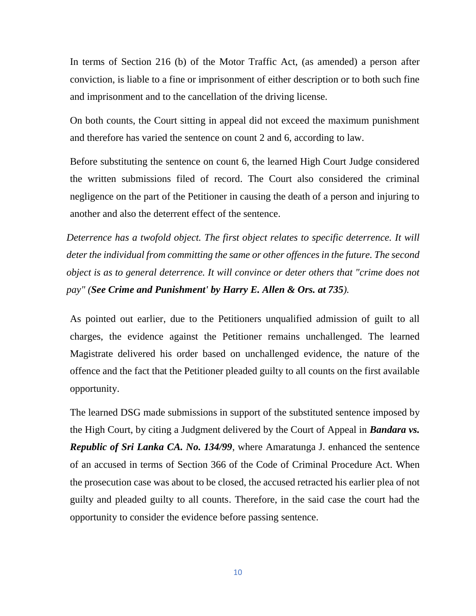In terms of Section 216 (b) of the Motor Traffic Act, (as amended) a person after conviction, is liable to a fine or imprisonment of either description or to both such fine and imprisonment and to the cancellation of the driving license.

On both counts, the Court sitting in appeal did not exceed the maximum punishment and therefore has varied the sentence on count 2 and 6, according to law.

Before substituting the sentence on count 6, the learned High Court Judge considered the written submissions filed of record. The Court also considered the criminal negligence on the part of the Petitioner in causing the death of a person and injuring to another and also the deterrent effect of the sentence.

*Deterrence has a twofold object. The first object relates to specific deterrence. It will deter the individual from committing the same or other offences in the future. The second object is as to general deterrence. It will convince or deter others that "crime does not pay" (See Crime and Punishment' by Harry E. Allen & Ors. at 735).* 

As pointed out earlier, due to the Petitioners unqualified admission of guilt to all charges, the evidence against the Petitioner remains unchallenged. The learned Magistrate delivered his order based on unchallenged evidence, the nature of the offence and the fact that the Petitioner pleaded guilty to all counts on the first available opportunity.

The learned DSG made submissions in support of the substituted sentence imposed by the High Court, by citing a Judgment delivered by the Court of Appeal in *Bandara vs. Republic of Sri Lanka CA. No. 134/99*, where Amaratunga J. enhanced the sentence of an accused in terms of Section 366 of the Code of Criminal Procedure Act. When the prosecution case was about to be closed, the accused retracted his earlier plea of not guilty and pleaded guilty to all counts. Therefore, in the said case the court had the opportunity to consider the evidence before passing sentence.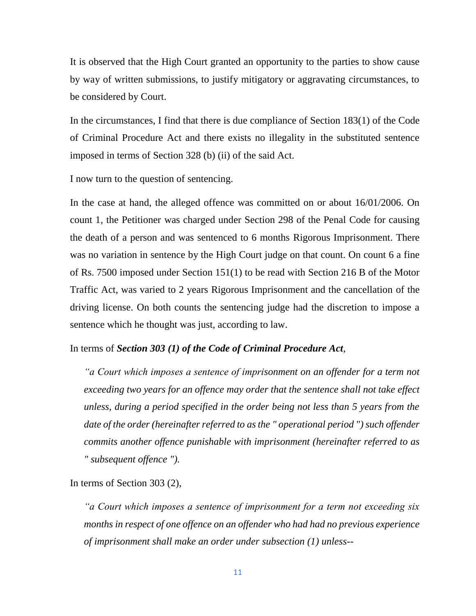It is observed that the High Court granted an opportunity to the parties to show cause by way of written submissions, to justify mitigatory or aggravating circumstances, to be considered by Court.

In the circumstances, I find that there is due compliance of Section 183(1) of the Code of Criminal Procedure Act and there exists no illegality in the substituted sentence imposed in terms of Section 328 (b) (ii) of the said Act.

I now turn to the question of sentencing.

In the case at hand, the alleged offence was committed on or about 16/01/2006. On count 1, the Petitioner was charged under Section 298 of the Penal Code for causing the death of a person and was sentenced to 6 months Rigorous Imprisonment. There was no variation in sentence by the High Court judge on that count. On count 6 a fine of Rs. 7500 imposed under Section 151(1) to be read with Section 216 B of the Motor Traffic Act, was varied to 2 years Rigorous Imprisonment and the cancellation of the driving license. On both counts the sentencing judge had the discretion to impose a sentence which he thought was just, according to law.

#### In terms of *Section 303 (1) of the Code of Criminal Procedure Act,*

*"a Court which imposes a sentence of imprisonment on an offender for a term not exceeding two years for an offence may order that the sentence shall not take effect unless, during a period specified in the order being not less than 5 years from the date of the order (hereinafter referred to as the " operational period ") such offender commits another offence punishable with imprisonment (hereinafter referred to as " subsequent offence ").* 

In terms of Section 303 (2),

*"a Court which imposes a sentence of imprisonment for a term not exceeding six months in respect of one offence on an offender who had had no previous experience of imprisonment shall make an order under subsection (1) unless--*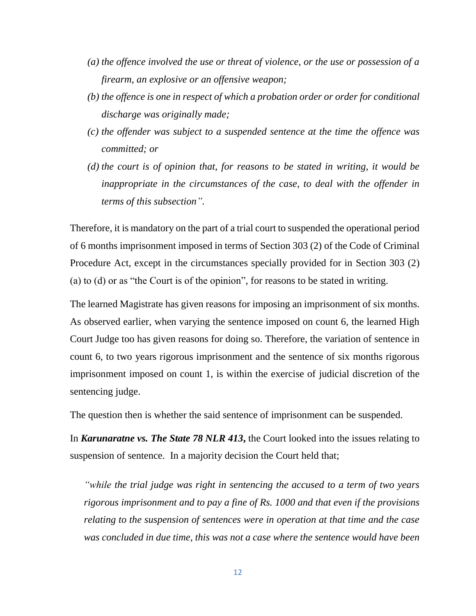- *(a) the offence involved the use or threat of violence, or the use or possession of a firearm, an explosive or an offensive weapon;*
- *(b) the offence is one in respect of which a probation order or order for conditional discharge was originally made;*
- *(c) the offender was subject to a suspended sentence at the time the offence was committed; or*
- *(d) the court is of opinion that, for reasons to be stated in writing, it would be inappropriate in the circumstances of the case, to deal with the offender in terms of this subsection".*

Therefore, it is mandatory on the part of a trial court to suspended the operational period of 6 months imprisonment imposed in terms of Section 303 (2) of the Code of Criminal Procedure Act, except in the circumstances specially provided for in Section 303 (2) (a) to (d) or as "the Court is of the opinion", for reasons to be stated in writing.

The learned Magistrate has given reasons for imposing an imprisonment of six months. As observed earlier, when varying the sentence imposed on count 6, the learned High Court Judge too has given reasons for doing so. Therefore, the variation of sentence in count 6, to two years rigorous imprisonment and the sentence of six months rigorous imprisonment imposed on count 1, is within the exercise of judicial discretion of the sentencing judge.

The question then is whether the said sentence of imprisonment can be suspended.

In *Karunaratne vs. The State 78 NLR 413***,** the Court looked into the issues relating to suspension of sentence. In a majority decision the Court held that;

*"while the trial judge was right in sentencing the accused to a term of two years rigorous imprisonment and to pay a fine of Rs. 1000 and that even if the provisions relating to the suspension of sentences were in operation at that time and the case was concluded in due time, this was not a case where the sentence would have been*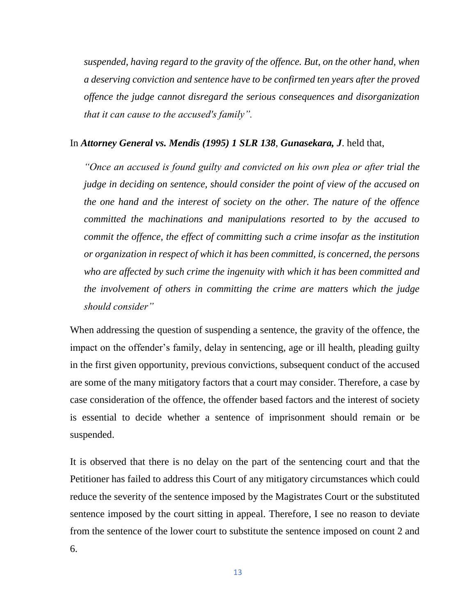*suspended, having regard to the gravity of the offence. But, on the other hand, when a deserving conviction and sentence have to be confirmed ten years after the proved offence the judge cannot disregard the serious consequences and disorganization that it can cause to the accused's family".*

#### In *Attorney General vs. Mendis (1995) 1 SLR 138*, *Gunasekara, J*. held that,

*"Once an accused is found guilty and convicted on his own plea or after trial the judge in deciding on sentence, should consider the point of view of the accused on the one hand and the interest of society on the other. The nature of the offence committed the machinations and manipulations resorted to by the accused to commit the offence, the effect of committing such a crime insofar as the institution or organization in respect of which it has been committed, is concerned, the persons who are affected by such crime the ingenuity with which it has been committed and the involvement of others in committing the crime are matters which the judge should consider"*

When addressing the question of suspending a sentence, the gravity of the offence, the impact on the offender's family, delay in sentencing, age or ill health, pleading guilty in the first given opportunity, previous convictions, subsequent conduct of the accused are some of the many mitigatory factors that a court may consider. Therefore, a case by case consideration of the offence, the offender based factors and the interest of society is essential to decide whether a sentence of imprisonment should remain or be suspended.

It is observed that there is no delay on the part of the sentencing court and that the Petitioner has failed to address this Court of any mitigatory circumstances which could reduce the severity of the sentence imposed by the Magistrates Court or the substituted sentence imposed by the court sitting in appeal. Therefore, I see no reason to deviate from the sentence of the lower court to substitute the sentence imposed on count 2 and 6.